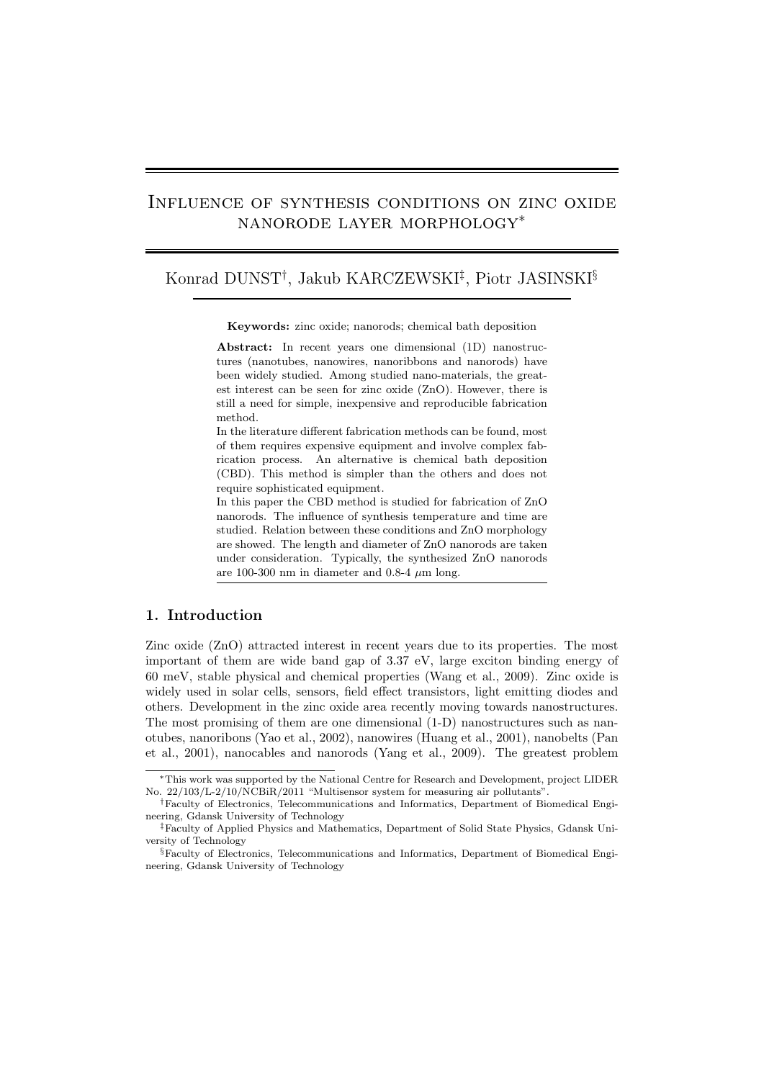# Influence of synthesis conditions on zinc oxide nanorode layer morphology∗

# Konrad DUNST† , Jakub KARCZEWSKI‡ , Piotr JASINSKI§

**Keywords:** zinc oxide; nanorods; chemical bath deposition

**Abstract:** In recent years one dimensional (1D) nanostructures (nanotubes, nanowires, nanoribbons and nanorods) have been widely studied. Among studied nano-materials, the greatest interest can be seen for zinc oxide (ZnO). However, there is still a need for simple, inexpensive and reproducible fabrication method.

In the literature different fabrication methods can be found, most of them requires expensive equipment and involve complex fabrication process. An alternative is chemical bath deposition (CBD). This method is simpler than the others and does not require sophisticated equipment.

In this paper the CBD method is studied for fabrication of ZnO nanorods. The influence of synthesis temperature and time are studied. Relation between these conditions and ZnO morphology are showed. The length and diameter of ZnO nanorods are taken under consideration. Typically, the synthesized ZnO nanorods are 100-300 nm in diameter and 0.8-4  $\mu$ m long.

#### **1. Introduction**

Zinc oxide (ZnO) attracted interest in recent years due to its properties. The most important of them are wide band gap of 3.37 eV, large exciton binding energy of 60 meV, stable physical and chemical properties [\(Wang et al., 2009\)](#page-5-0). Zinc oxide is widely used in solar cells, sensors, field effect transistors, light emitting diodes and others. Development in the zinc oxide area recently moving towards nanostructures. The most promising of them are one dimensional (1-D) nanostructures such as nanotubes, nanoribons [\(Yao et al., 2002\)](#page-5-1), nanowires [\(Huang et al., 2001\)](#page-5-2), nanobelts [\(Pan](#page-5-3) [et al., 2001\)](#page-5-3), nanocables and nanorods [\(Yang et al., 2009\)](#page-5-4). The greatest problem

<sup>∗</sup>This work was supported by the National Centre for Research and Development, project LIDER No. 22/103/L-2/10/NCBiR/2011 "Multisensor system for measuring air pollutants".

<sup>†</sup>Faculty of Electronics, Telecommunications and Informatics, Department of Biomedical Engineering, Gdansk University of Technology

<sup>‡</sup>Faculty of Applied Physics and Mathematics, Department of Solid State Physics, Gdansk University of Technology

<sup>§</sup>Faculty of Electronics, Telecommunications and Informatics, Department of Biomedical Engineering, Gdansk University of Technology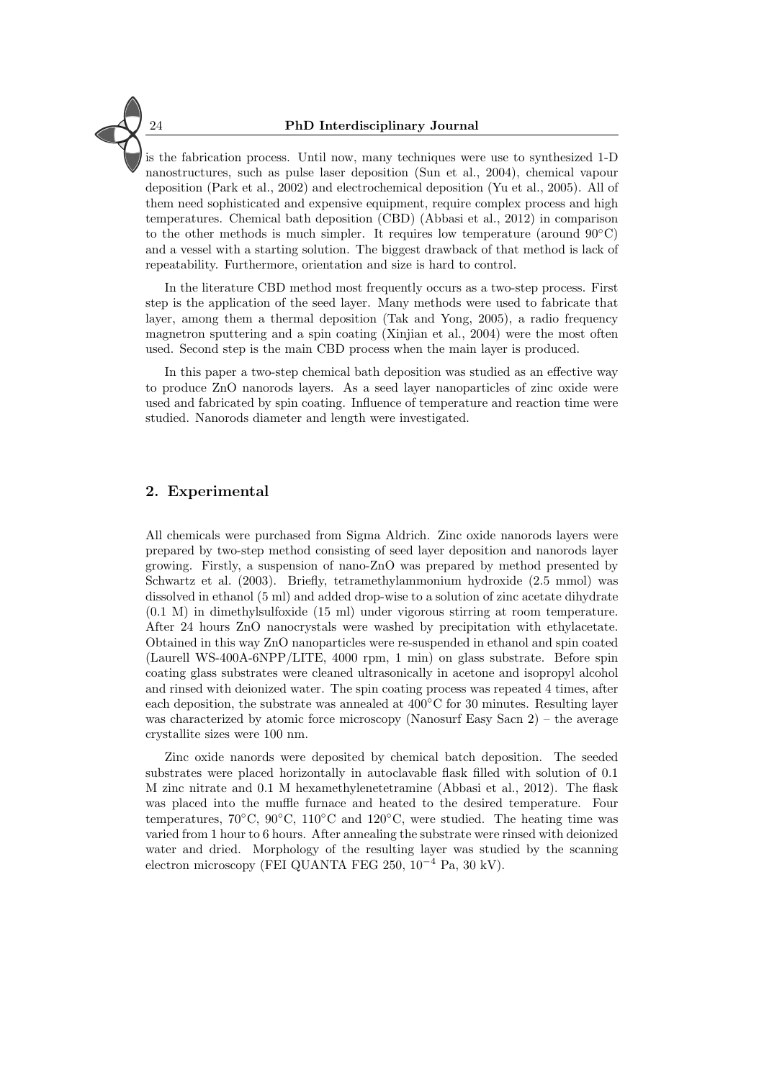is the fabrication process. Until now, many techniques were use to synthesized 1-D nanostructures, such as pulse laser deposition [\(Sun et al., 2004\)](#page-5-5), chemical vapour deposition [\(Park et al., 2002\)](#page-5-6) and electrochemical deposition [\(Yu et al., 2005\)](#page-5-7). All of them need sophisticated and expensive equipment, require complex process and high temperatures. Chemical bath deposition (CBD) [\(Abbasi et al., 2012\)](#page-5-8) in comparison to the other methods is much simpler. It requires low temperature (around  $90^{\circ}$ C) and a vessel with a starting solution. The biggest drawback of that method is lack of repeatability. Furthermore, orientation and size is hard to control.

In the literature CBD method most frequently occurs as a two-step process. First step is the application of the seed layer. Many methods were used to fabricate that layer, among them a thermal deposition [\(Tak and Yong, 2005\)](#page-5-9), a radio frequency magnetron sputtering and a spin coating [\(Xinjian et al., 2004\)](#page-5-10) were the most often used. Second step is the main CBD process when the main layer is produced.

In this paper a two-step chemical bath deposition was studied as an effective way to produce ZnO nanorods layers. As a seed layer nanoparticles of zinc oxide were used and fabricated by spin coating. Influence of temperature and reaction time were studied. Nanorods diameter and length were investigated.

### **2. Experimental**

All chemicals were purchased from Sigma Aldrich. Zinc oxide nanorods layers were prepared by two-step method consisting of seed layer deposition and nanorods layer growing. Firstly, a suspension of nano-ZnO was prepared by method presented by [Schwartz et al.](#page-5-11) [\(2003\)](#page-5-11). Briefly, tetramethylammonium hydroxide (2.5 mmol) was dissolved in ethanol (5 ml) and added drop-wise to a solution of zinc acetate dihydrate (0.1 M) in dimethylsulfoxide (15 ml) under vigorous stirring at room temperature. After 24 hours ZnO nanocrystals were washed by precipitation with ethylacetate. Obtained in this way ZnO nanoparticles were re-suspended in ethanol and spin coated (Laurell WS-400A-6NPP/LITE, 4000 rpm, 1 min) on glass substrate. Before spin coating glass substrates were cleaned ultrasonically in acetone and isopropyl alcohol and rinsed with deionized water. The spin coating process was repeated 4 times, after each deposition, the substrate was annealed at 400◦C for 30 minutes. Resulting layer was characterized by atomic force microscopy (Nanosurf Easy Sacn 2) – the average crystallite sizes were 100 nm.

Zinc oxide nanords were deposited by chemical batch deposition. The seeded substrates were placed horizontally in autoclavable flask filled with solution of 0.1 M zinc nitrate and 0.1 M hexamethylenetetramine [\(Abbasi et al., 2012\)](#page-5-8). The flask was placed into the muffle furnace and heated to the desired temperature. Four temperatures, 70 $°C$ , 90 $°C$ , 110 $°C$  and 120 $°C$ , were studied. The heating time was varied from 1 hour to 6 hours. After annealing the substrate were rinsed with deionized water and dried. Morphology of the resulting layer was studied by the scanning electron microscopy (FEI QUANTA FEG 250, 10<sup>−</sup><sup>4</sup> Pa, 30 kV).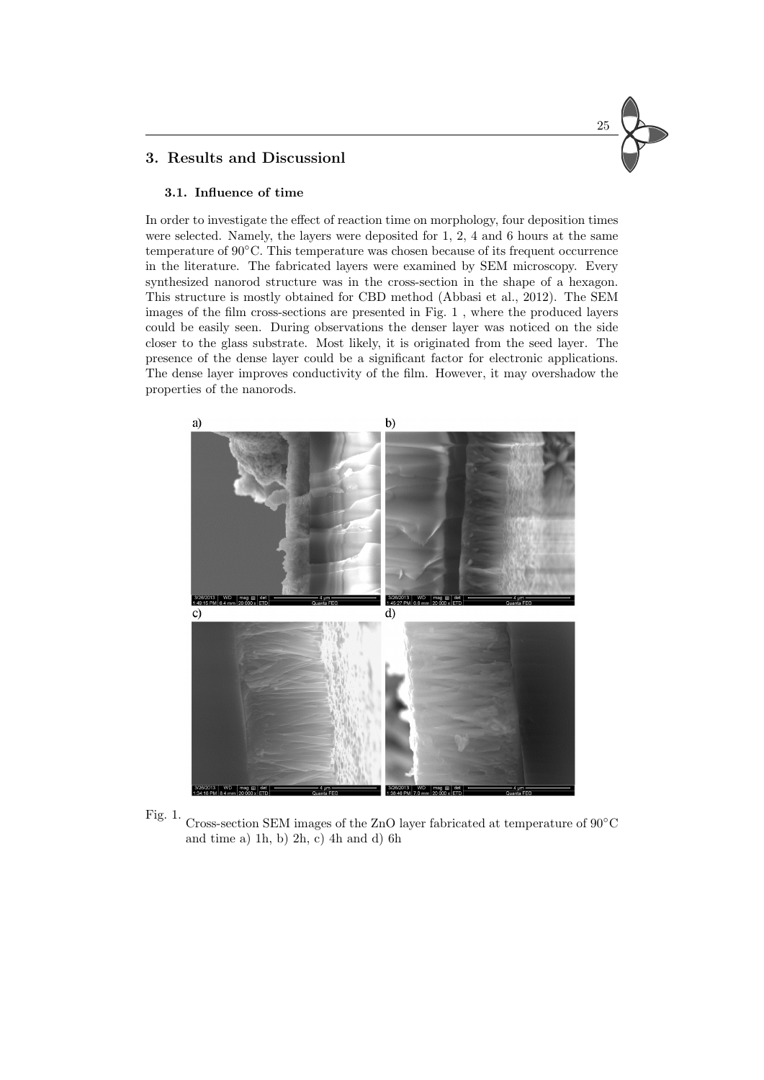#### **3. Results and Discussionl**

#### **3.1. Influence of time**

In order to investigate the effect of reaction time on morphology, four deposition times were selected. Namely, the layers were deposited for 1, 2, 4 and 6 hours at the same temperature of 90◦C. This temperature was chosen because of its frequent occurrence in the literature. The fabricated layers were examined by SEM microscopy. Every synthesized nanorod structure was in the cross-section in the shape of a hexagon. This structure is mostly obtained for CBD method [\(Abbasi et al., 2012\)](#page-5-8). The SEM images of the film cross-sections are presented in Fig. [1](#page-2-0) , where the produced layers could be easily seen. During observations the denser layer was noticed on the side closer to the glass substrate. Most likely, it is originated from the seed layer. The presence of the dense layer could be a significant factor for electronic applications. The dense layer improves conductivity of the film. However, it may overshadow the properties of the nanorods.

25





<span id="page-2-0"></span>Fig. 1. Cross-section SEM images of the ZnO layer fabricated at temperature of  $90^{\circ} \text{C}$ and time a) 1h, b) 2h, c) 4h and d) 6h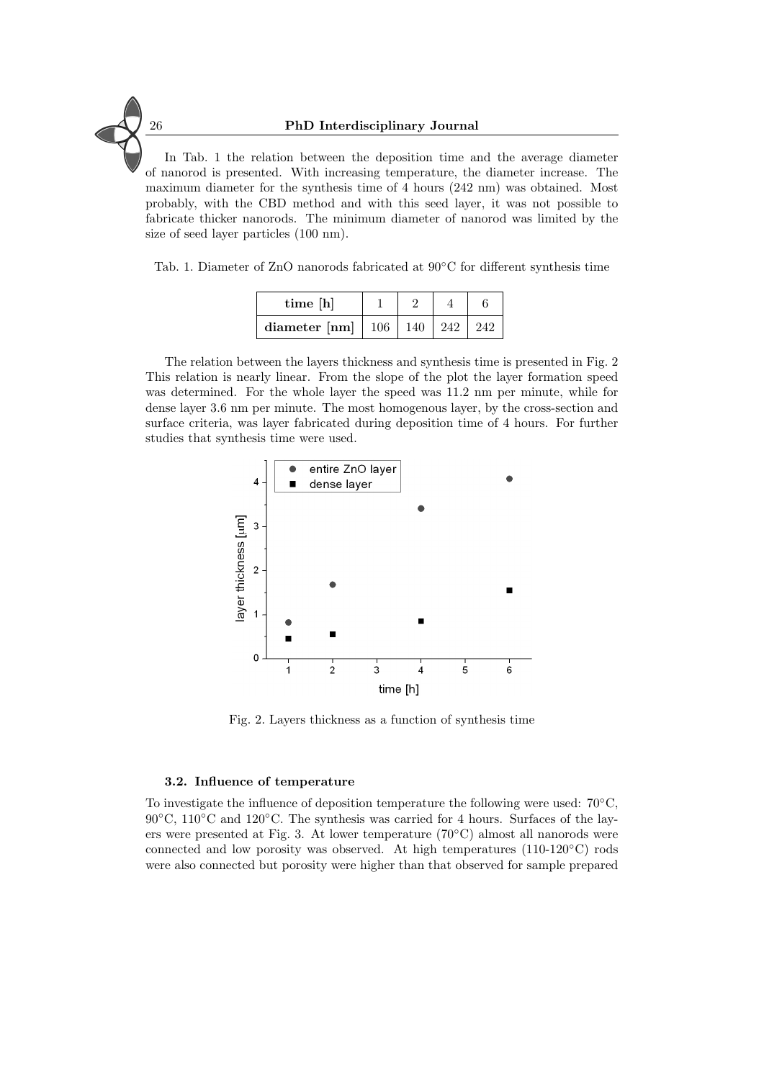In Tab. [1](#page-3-0) the relation between the deposition time and the average diameter of nanorod is presented. With increasing temperature, the diameter increase. The maximum diameter for the synthesis time of 4 hours (242 nm) was obtained. Most probably, with the CBD method and with this seed layer, it was not possible to fabricate thicker nanorods. The minimum diameter of nanorod was limited by the size of seed layer particles (100 nm).

<span id="page-3-0"></span>Tab. 1. Diameter of ZnO nanorods fabricated at 90◦C for different synthesis time

| time [h]      |           |     |     |     |
|---------------|-----------|-----|-----|-----|
| diameter [nm] | $\pm 106$ | 140 | 242 | 242 |

The relation between the layers thickness and synthesis time is presented in Fig. [2](#page-3-1) This relation is nearly linear. From the slope of the plot the layer formation speed was determined. For the whole layer the speed was 11.2 nm per minute, while for dense layer 3.6 nm per minute. The most homogenous layer, by the cross-section and surface criteria, was layer fabricated during deposition time of 4 hours. For further studies that synthesis time were used.



<span id="page-3-1"></span>Fig. 2. Layers thickness as a function of synthesis time

#### **3.2. Influence of temperature**

To investigate the influence of deposition temperature the following were used: 70◦C,  $90°C$ ,  $110°C$  and  $120°C$ . The synthesis was carried for 4 hours. Surfaces of the layers were presented at Fig. [3.](#page-4-0) At lower temperature (70◦C) almost all nanorods were connected and low porosity was observed. At high temperatures (110-120◦C) rods were also connected but porosity were higher than that observed for sample prepared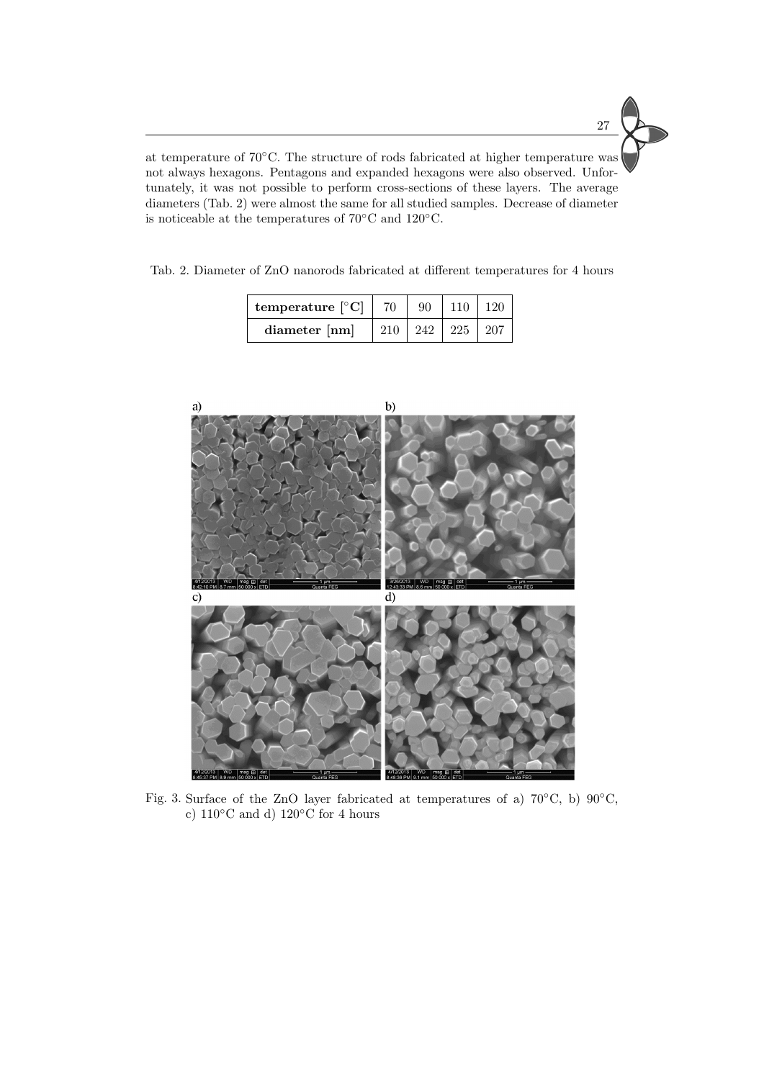

at temperature of 70◦C. The structure of rods fabricated at higher temperature was not always hexagons. Pentagons and expanded hexagons were also observed. Unfortunately, it was not possible to perform cross-sections of these layers. The average diameters (Tab. [2\)](#page-4-1) were almost the same for all studied samples. Decrease of diameter is noticeable at the temperatures of 70◦C and 120◦C.

<span id="page-4-1"></span>Tab. 2. Diameter of ZnO nanorods fabricated at different temperatures for 4 hours

| temperature $\lceil \circ C \rceil$ |     | 90  |     |  |
|-------------------------------------|-----|-----|-----|--|
| diameter [nm]                       | 210 | 242 | 225 |  |



<span id="page-4-0"></span>Fig. 3. Surface of the ZnO layer fabricated at temperatures of a) 70◦C, b) 90◦C, c)  $110\textdegree C$  and d)  $120\textdegree C$  for 4 hours